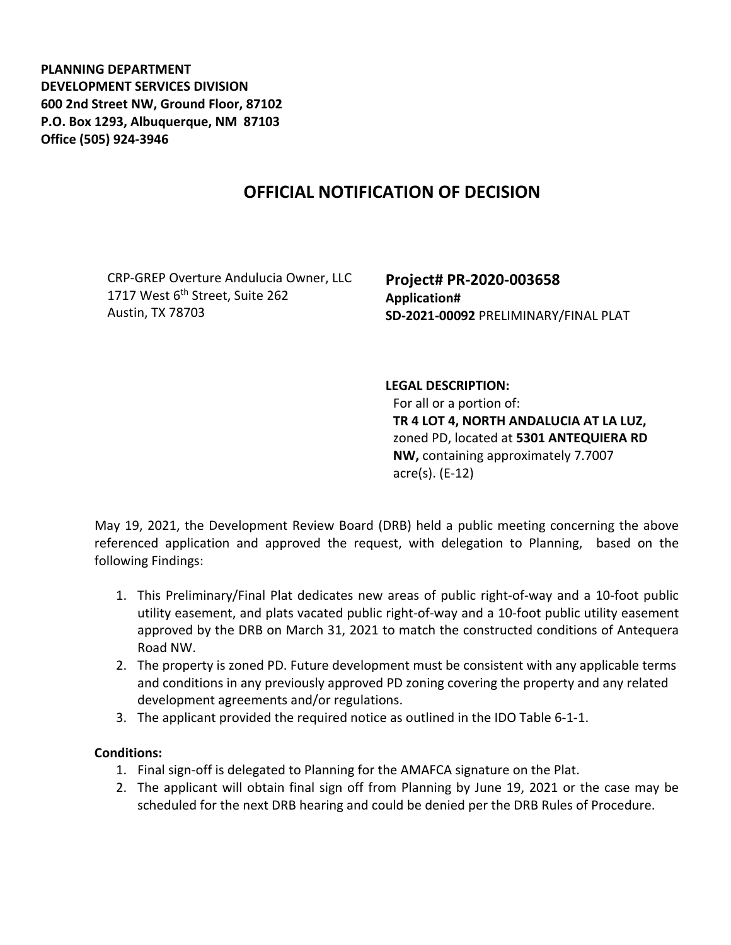**PLANNING DEPARTMENT DEVELOPMENT SERVICES DIVISION 600 2nd Street NW, Ground Floor, 87102 P.O. Box 1293, Albuquerque, NM 87103 Office (505) 924-3946** 

## **OFFICIAL NOTIFICATION OF DECISION**

CRP-GREP Overture Andulucia Owner, LLC 1717 West 6<sup>th</sup> Street, Suite 262 Austin, TX 78703

**Project# PR-2020-003658 Application# SD-2021-00092** PRELIMINARY/FINAL PLAT

## **LEGAL DESCRIPTION:**

For all or a portion of: **TR 4 LOT 4, NORTH ANDALUCIA AT LA LUZ,**  zoned PD, located at **5301 ANTEQUIERA RD NW,** containing approximately 7.7007 acre(s). (E-12)

May 19, 2021, the Development Review Board (DRB) held a public meeting concerning the above referenced application and approved the request, with delegation to Planning, based on the following Findings:

- 1. This Preliminary/Final Plat dedicates new areas of public right-of-way and a 10-foot public utility easement, and plats vacated public right-of-way and a 10-foot public utility easement approved by the DRB on March 31, 2021 to match the constructed conditions of Antequera Road NW.
- 2. The property is zoned PD. Future development must be consistent with any applicable terms and conditions in any previously approved PD zoning covering the property and any related development agreements and/or regulations.
- 3. The applicant provided the required notice as outlined in the IDO Table 6-1-1.

## **Conditions:**

- 1. Final sign-off is delegated to Planning for the AMAFCA signature on the Plat.
- 2. The applicant will obtain final sign off from Planning by June 19, 2021 or the case may be scheduled for the next DRB hearing and could be denied per the DRB Rules of Procedure.